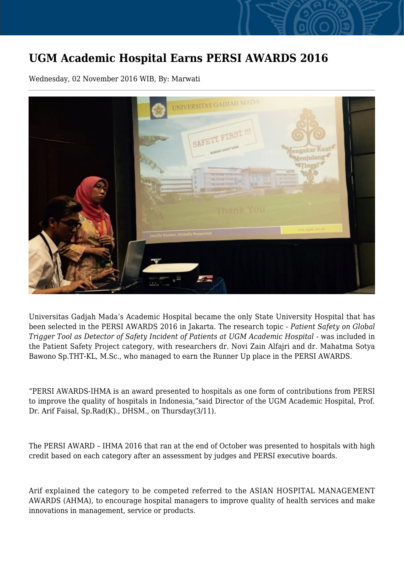## **UGM Academic Hospital Earns PERSI AWARDS 2016**

Wednesday, 02 November 2016 WIB, By: Marwati



Universitas Gadjah Mada's Academic Hospital became the only State University Hospital that has been selected in the PERSI AWARDS 2016 in Jakarta. The research topic - *Patient Safety on Global Trigger Tool as Detector of Safety Incident of Patients at UGM Academic Hospital* - was included in the Patient Safety Project category, with researchers dr. Novi Zain Alfajri and dr. Mahatma Sotya Bawono Sp.THT-KL, M.Sc., who managed to earn the Runner Up place in the PERSI AWARDS.

"PERSI AWARDS-IHMA is an award presented to hospitals as one form of contributions from PERSI to improve the quality of hospitals in Indonesia,"said Director of the UGM Academic Hospital, Prof. Dr. Arif Faisal, Sp.Rad(K)., DHSM., on Thursday(3/11).

The PERSI AWARD – IHMA 2016 that ran at the end of October was presented to hospitals with high credit based on each category after an assessment by judges and PERSI executive boards.

Arif explained the category to be competed referred to the ASIAN HOSPITAL MANAGEMENT AWARDS (AHMA), to encourage hospital managers to improve quality of health services and make innovations in management, service or products.